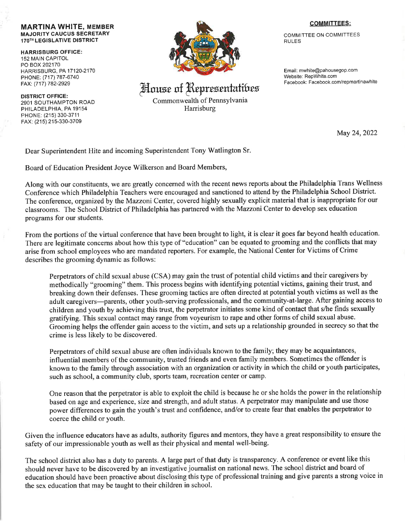## MARTINA WHITE, MEMBER MAJORITY CAUCUS SECRETARY 17OTH LEGISLATIVE DISTRICT

HARRISBURG OFFICE: 152 MAIN CAPITOL PO BOX 202170 HARRISBURG, PA 17 120.2170 PHONE: (717) 787-6740 FAX: (717) 782-2929

DISTRICT OFFIGE: 2901 SOUTHAMPTON ROAD PHILADELPHIA, PA 19154 PHONE: (215) 330-3711 FAX: (215) 215-330-3709



## House of Representatibes

Commonwealth of Pennsylvania Harrisburg

## COMMITTEES:

COMMITTEE ON COMMITTEES RULES

Email: mwhite@pahousegop.com Website: RepWhite.com Facebook: Facebook.com/repmartinawhite

May 24,2022

Dear Superintendent Hite and incoming Superintendent Tony Watlington Sr.

Board of Education President Joyce Wilkerson and Board Members,

Along with our constituents, we are greatly concerned with the recent news reports about the Philadelphia Trans Wellness Conference which Philadelphia Teachers were encouraged and sanctioned to attend by the Philadelphia School District. The conference, organized by the Mazzoni Center, covered highly sexually explicit material that is inappropriate for our classrooms. The School District of Philadelphia has partnered with the Mazzoni Center to develop sex education programs for our students.

From the portions of the virtual conference that have been brought to light, it is clear it goes far beyond health education. There are legitimate concems about how this type of "education" can be equated to grooming and the conflicts that may arise from school employees who are mandated reporters. For example, the National Center for Victims of Crime describes the grooming dynamic as follows:

Perpetrators of child sexual abuse (CSA) may gain the trust of potential child victims and their caregivers by methodically "grooming" them. This process begins with identifying potential victims, gaining their trust, and breaking down their defenses. These grooming tactics are often directed at potential youth victims as well as the adult caregivers-parents, other youth-serving professionals, and the community-at-large. After gaining access to children and youth by achieving this trust, the perpetrator initiates some kind of contact that s/he finds sexually gratifuing. This sexual contact may range from voyeurism to rape and other forms of child sexual abuse. Grooming helps the offender gain access to the victim, and sets up a relationship grounded in secrecy so that the crime is less likely to be discovered.

Perpetrators of child sexual abuse are often individuals known to the family; they may be acquaintances, influential members of the community, trusted friends and even family members. Sometimes the offender is known to the family through association with an organization or activity in which the child or youth participates, such as school, a community club, sports team, recreation center or camp.

One reason that the perpetrator is able to exploit the child is because he or she holds the power in the relationship based on age and experience, size and strength, and adult status. A perpetrator may manipulate and use those power differences to gain the youth's trust and confidence, and/or to create fear that enables the perpetrator to coerce the child or youth.

Given the influence educators have as adults, authority figures and mentors, they have a great responsibility to ensure the safety of our impressionable youth as well as their physical and mental well-being.

The school district also has a duty to parents. A large part of that duty is transparency. A conference or event like this should never have to be discovered by an investigative journalist on national news. The school district and board of education should have been proactive about disclosing this type of professional training and give parents a strong voice in the sex education that may be taught to their children in school.